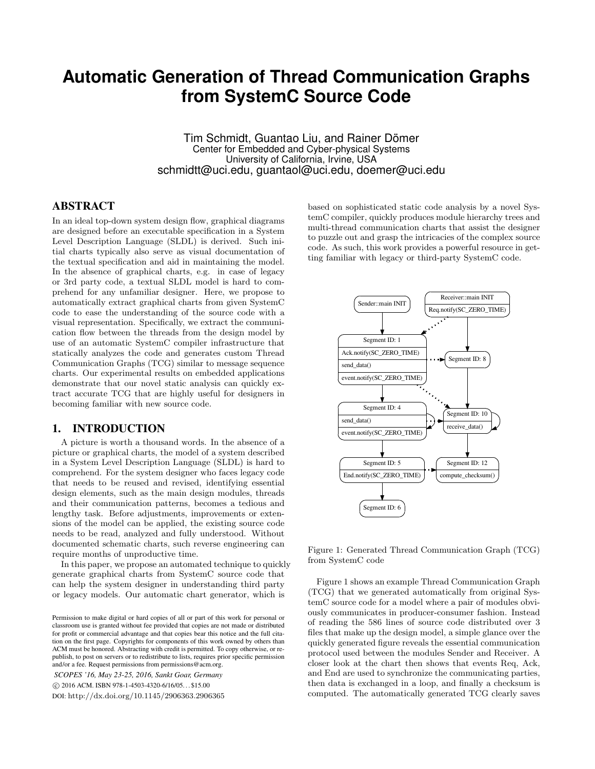# **Automatic Generation of Thread Communication Graphs from SystemC Source Code**

Tim Schmidt, Guantao Liu, and Rainer Dömer Center for Embedded and Cyber-physical Systems University of California, Irvine, USA schmidtt@uci.edu, guantaol@uci.edu, doemer@uci.edu

# ABSTRACT

In an ideal top-down system design flow, graphical diagrams are designed before an executable specification in a System Level Description Language (SLDL) is derived. Such initial charts typically also serve as visual documentation of the textual specification and aid in maintaining the model. In the absence of graphical charts, e.g. in case of legacy or 3rd party code, a textual SLDL model is hard to comprehend for any unfamiliar designer. Here, we propose to automatically extract graphical charts from given SystemC code to ease the understanding of the source code with a visual representation. Specifically, we extract the communication flow between the threads from the design model by use of an automatic SystemC compiler infrastructure that statically analyzes the code and generates custom Thread Communication Graphs (TCG) similar to message sequence charts. Our experimental results on embedded applications demonstrate that our novel static analysis can quickly extract accurate TCG that are highly useful for designers in becoming familiar with new source code.

### 1. INTRODUCTION

A picture is worth a thousand words. In the absence of a picture or graphical charts, the model of a system described in a System Level Description Language (SLDL) is hard to comprehend. For the system designer who faces legacy code that needs to be reused and revised, identifying essential design elements, such as the main design modules, threads and their communication patterns, becomes a tedious and lengthy task. Before adjustments, improvements or extensions of the model can be applied, the existing source code needs to be read, analyzed and fully understood. Without documented schematic charts, such reverse engineering can require months of unproductive time.

In this paper, we propose an automated technique to quickly generate graphical charts from SystemC source code that can help the system designer in understanding third party or legacy models. Our automatic chart generator, which is

*SCOPES '16, May 23-25, 2016, Sankt Goar, Germany* c 2016 ACM. ISBN 978-1-4503-4320-6/16/05. . . \$15.00 DOI: http://dx.doi.org/10.1145/2906363.2906365 based on sophisticated static code analysis by a novel SystemC compiler, quickly produces module hierarchy trees and multi-thread communication charts that assist the designer to puzzle out and grasp the intricacies of the complex source code. As such, this work provides a powerful resource in getting familiar with legacy or third-party SystemC code.



Figure 1: Generated Thread Communication Graph (TCG) from SystemC code

Figure 1 shows an example Thread Communication Graph (TCG) that we generated automatically from original SystemC source code for a model where a pair of modules obviously communicates in producer-consumer fashion. Instead of reading the 586 lines of source code distributed over 3 files that make up the design model, a simple glance over the quickly generated figure reveals the essential communication protocol used between the modules Sender and Receiver. A closer look at the chart then shows that events Req, Ack, and End are used to synchronize the communicating parties, then data is exchanged in a loop, and finally a checksum is computed. The automatically generated TCG clearly saves

Permission to make digital or hard copies of all or part of this work for personal or classroom use is granted without fee provided that copies are not made or distributed for profit or commercial advantage and that copies bear this notice and the full citation on the first page. Copyrights for components of this work owned by others than ACM must be honored. Abstracting with credit is permitted. To copy otherwise, or republish, to post on servers or to redistribute to lists, requires prior specific permission and/or a fee. Request permissions from permissions@acm.org.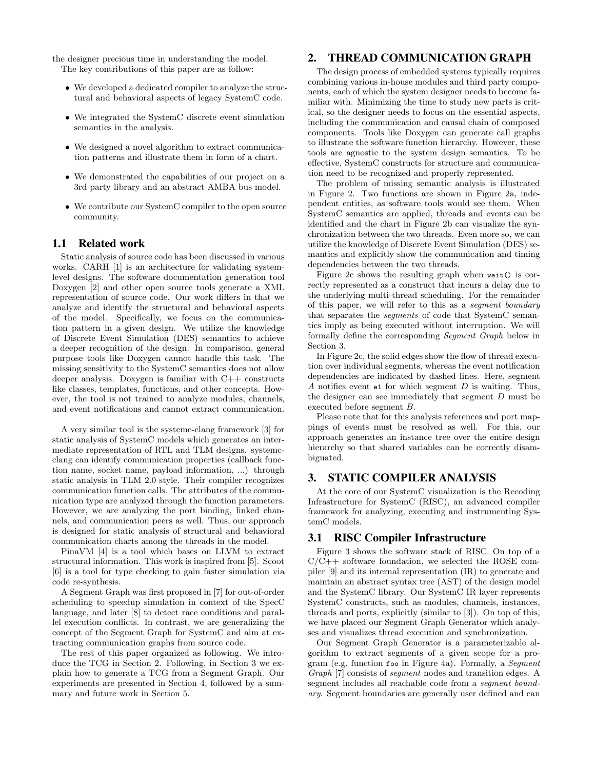the designer precious time in understanding the model. The key contributions of this paper are as follow:

- We developed a dedicated compiler to analyze the structural and behavioral aspects of legacy SystemC code.
- We integrated the SystemC discrete event simulation semantics in the analysis.
- We designed a novel algorithm to extract communication patterns and illustrate them in form of a chart.
- We demonstrated the capabilities of our project on a 3rd party library and an abstract AMBA bus model.
- We contribute our SystemC compiler to the open source community.

## 1.1 Related work

Static analysis of source code has been discussed in various works. CARH [1] is an architecture for validating systemlevel designs. The software documentation generation tool Doxygen [2] and other open source tools generate a XML representation of source code. Our work differs in that we analyze and identify the structural and behavioral aspects of the model. Specifically, we focus on the communication pattern in a given design. We utilize the knowledge of Discrete Event Simulation (DES) semantics to achieve a deeper recognition of the design. In comparison, general purpose tools like Doxygen cannot handle this task. The missing sensitivity to the SystemC semantics does not allow deeper analysis. Doxygen is familiar with C++ constructs like classes, templates, functions, and other concepts. However, the tool is not trained to analyze modules, channels, and event notifications and cannot extract communication.

A very similar tool is the systemc-clang framework [3] for static analysis of SystemC models which generates an intermediate representation of RTL and TLM designs. systemcclang can identify communication properties (callback function name, socket name, payload information, ...) through static analysis in TLM 2.0 style. Their compiler recognizes communication function calls. The attributes of the communication type are analyzed through the function parameters. However, we are analyzing the port binding, linked channels, and communication peers as well. Thus, our approach is designed for static analysis of structural and behavioral communication charts among the threads in the model.

PinaVM [4] is a tool which bases on LLVM to extract structural information. This work is inspired from [5]. Scoot [6] is a tool for type checking to gain faster simulation via code re-synthesis.

A Segment Graph was first proposed in [7] for out-of-order scheduling to speedup simulation in context of the SpecC language, and later [8] to detect race conditions and parallel execution conflicts. In contrast, we are generalizing the concept of the Segment Graph for SystemC and aim at extracting communication graphs from source code.

The rest of this paper organized as following. We introduce the TCG in Section 2. Following, in Section 3 we explain how to generate a TCG from a Segment Graph. Our experiments are presented in Section 4, followed by a summary and future work in Section 5.

## 2. THREAD COMMUNICATION GRAPH

The design process of embedded systems typically requires combining various in-house modules and third party components, each of which the system designer needs to become familiar with. Minimizing the time to study new parts is critical, so the designer needs to focus on the essential aspects, including the communication and causal chain of composed components. Tools like Doxygen can generate call graphs to illustrate the software function hierarchy. However, these tools are agnostic to the system design semantics. To be effective, SystemC constructs for structure and communication need to be recognized and properly represented.

The problem of missing semantic analysis is illustrated in Figure 2. Two functions are shown in Figure 2a, independent entities, as software tools would see them. When SystemC semantics are applied, threads and events can be identified and the chart in Figure 2b can visualize the synchronization between the two threads. Even more so, we can utilize the knowledge of Discrete Event Simulation (DES) semantics and explicitly show the communication and timing dependencies between the two threads.

Figure 2c shows the resulting graph when wait() is correctly represented as a construct that incurs a delay due to the underlying multi-thread scheduling. For the remainder of this paper, we will refer to this as a segment boundary that separates the segments of code that SystemC semantics imply as being executed without interruption. We will formally define the corresponding Segment Graph below in Section 3.

In Figure 2c, the solid edges show the flow of thread execution over individual segments, whereas the event notification dependencies are indicated by dashed lines. Here, segment A notifies event e1 for which segment  $D$  is waiting. Thus, the designer can see immediately that segment D must be executed before segment B.

Please note that for this analysis references and port mappings of events must be resolved as well. For this, our approach generates an instance tree over the entire design hierarchy so that shared variables can be correctly disambiguated.

## 3. STATIC COMPILER ANALYSIS

At the core of our SystemC visualization is the Recoding Infrastructure for SystemC (RISC), an advanced compiler framework for analyzing, executing and instrumenting SystemC models.

## 3.1 RISC Compiler Infrastructure

Figure 3 shows the software stack of RISC. On top of a  $C/C++$  software foundation, we selected the ROSE compiler [9] and its internal representation (IR) to generate and maintain an abstract syntax tree (AST) of the design model and the SystemC library. Our SystemC IR layer represents SystemC constructs, such as modules, channels, instances, threads and ports, explicitly (similar to [3]). On top of this, we have placed our Segment Graph Generator which analyses and visualizes thread execution and synchronization.

Our Segment Graph Generator is a parameterizable algorithm to extract segments of a given scope for a program (e.g. function foo in Figure 4a). Formally, a Segment Graph [7] consists of segment nodes and transition edges. A segment includes all reachable code from a *segment bound*ary. Segment boundaries are generally user defined and can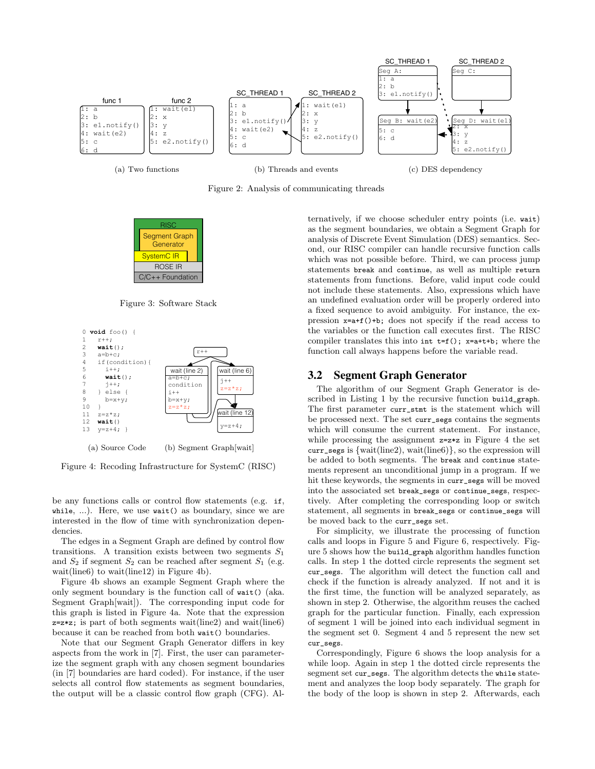

Figure 2: Analysis of communicating threads



Figure 3: Software Stack



(a) Source Code (b) Segment Graph[wait]

Figure 4: Recoding Infrastructure for SystemC (RISC)

be any functions calls or control flow statements (e.g. if, while, ...). Here, we use wait() as boundary, since we are interested in the flow of time with synchronization dependencies.

The edges in a Segment Graph are defined by control flow transitions. A transition exists between two segments  $S_1$ and  $S_2$  if segment  $S_2$  can be reached after segment  $S_1$  (e.g. wait(line6) to wait(line12) in Figure 4b).

Figure 4b shows an example Segment Graph where the only segment boundary is the function call of wait() (aka. Segment Graph[wait]). The corresponding input code for this graph is listed in Figure 4a. Note that the expression  $z = z * z$ ; is part of both segments wait(line2) and wait(line6) because it can be reached from both wait() boundaries.

Note that our Segment Graph Generator differs in key aspects from the work in [7]. First, the user can parameterize the segment graph with any chosen segment boundaries (in [7] boundaries are hard coded). For instance, if the user selects all control flow statements as segment boundaries, the output will be a classic control flow graph (CFG). Alternatively, if we choose scheduler entry points (i.e. wait) as the segment boundaries, we obtain a Segment Graph for analysis of Discrete Event Simulation (DES) semantics. Second, our RISC compiler can handle recursive function calls which was not possible before. Third, we can process jump statements break and continue, as well as multiple return statements from functions. Before, valid input code could not include these statements. Also, expressions which have an undefined evaluation order will be properly ordered into a fixed sequence to avoid ambiguity. For instance, the expression x=a+f()+b; does not specify if the read access to the variables or the function call executes first. The RISC compiler translates this into  $int t=f()$ ;  $x=a+t+b$ ; where the function call always happens before the variable read.

#### 3.2 Segment Graph Generator

The algorithm of our Segment Graph Generator is described in Listing 1 by the recursive function build\_graph. The first parameter curr\_stmt is the statement which will be processed next. The set curr\_segs contains the segments which will consume the current statement. For instance, while processing the assignment  $z=z*z$  in Figure 4 the set curr\_segs is  $\{wait(line2), wait(line6)\}$ , so the expression will be added to both segments. The break and continue statements represent an unconditional jump in a program. If we hit these keywords, the segments in curr\_segs will be moved into the associated set break\_segs or continue\_segs, respectively. After completing the corresponding loop or switch statement, all segments in break\_segs or continue\_segs will be moved back to the curr\_segs set.

For simplicity, we illustrate the processing of function calls and loops in Figure 5 and Figure 6, respectively. Figure 5 shows how the build\_graph algorithm handles function calls. In step 1 the dotted circle represents the segment set cur\_segs. The algorithm will detect the function call and check if the function is already analyzed. If not and it is the first time, the function will be analyzed separately, as shown in step 2. Otherwise, the algorithm reuses the cached graph for the particular function. Finally, each expression of segment 1 will be joined into each individual segment in the segment set 0. Segment 4 and 5 represent the new set cur\_segs.

Correspondingly, Figure 6 shows the loop analysis for a while loop. Again in step 1 the dotted circle represents the segment set cur\_segs. The algorithm detects the while statement and analyzes the loop body separately. The graph for the body of the loop is shown in step 2. Afterwards, each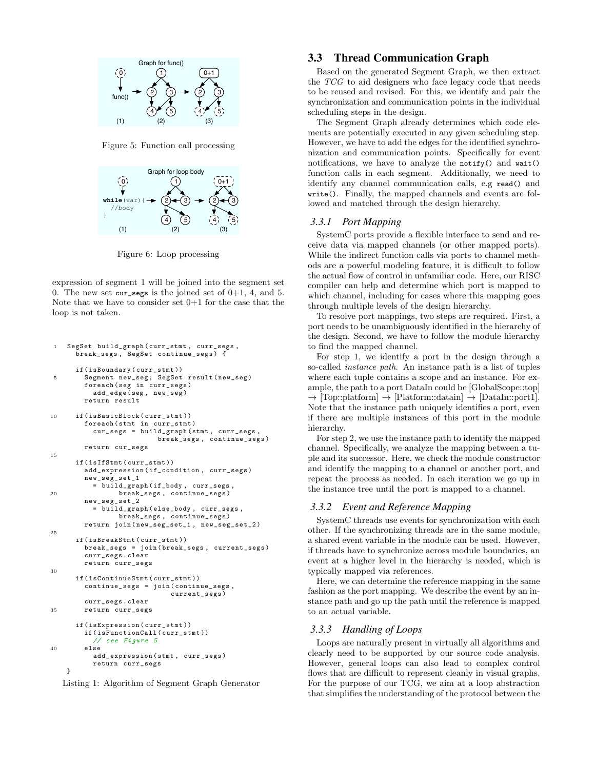

Figure 5: Function call processing



Figure 6: Loop processing

expression of segment 1 will be joined into the segment set 0. The new set  $cur\_segs$  is the joined set of  $0+1$ , 4, and 5. Note that we have to consider set  $0+1$  for the case that the loop is not taken.

```
1 SegSet build_graph ( curr_stmt , curr_segs ,
      break_segs , SegSet continue_segs ) {
      if ( isBoundary ( curr_stmt ))
5 Segment new_seg; SegSet result (new_seg)
        foreach (seg in curr_segs)
          add_edge (seg, new_seg)
        return result
10 if ( is Basic Block ( curr stmt ))
        foreach (stmt in curr stmt)
          cur_segs = build_graph ( stmt , curr_segs ,
                           break_segs , continue_segs )
        return cur_segs
15
      if ( isIfStmt ( curr_stmt ))
        add_expression ( if_condition , curr_segs )
        new_seg_set_1
           = build_graph ( if_body , curr_segs ,
20 break_segs , continue_segs )
        new_seg_set_2
           = build_graph ( else_body , curr_segs ,
                 break_segs , continue_segs )
        return join ( new_seg_set_1 , new_seg_set_2 )
25
      if ( isBreakStmt ( curr_stmt ))
        break_segs = join ( break_segs , current_segs )
        curr_segs . clear
        return curr_segs
30
      if ( isContinueStmt ( curr_stmt ))
        continue_segs = join ( continue_segs ,
                              current_segs )
        curr_segs . clear
35 return curr_segs
      if ( isExpression ( curr_stmt ))
        if (isFunctionCall (curr_stmt))
           // see Figure 5
40 else
          add_expression ( stmt , curr_segs )
          return curr_segs
    }
```
Listing 1: Algorithm of Segment Graph Generator

## 3.3 Thread Communication Graph

Based on the generated Segment Graph, we then extract the TCG to aid designers who face legacy code that needs to be reused and revised. For this, we identify and pair the synchronization and communication points in the individual scheduling steps in the design.

The Segment Graph already determines which code elements are potentially executed in any given scheduling step. However, we have to add the edges for the identified synchronization and communication points. Specifically for event notifications, we have to analyze the notify() and wait() function calls in each segment. Additionally, we need to identify any channel communication calls, e.g read() and write(). Finally, the mapped channels and events are followed and matched through the design hierarchy.

#### *3.3.1 Port Mapping*

SystemC ports provide a flexible interface to send and receive data via mapped channels (or other mapped ports). While the indirect function calls via ports to channel methods are a powerful modeling feature, it is difficult to follow the actual flow of control in unfamiliar code. Here, our RISC compiler can help and determine which port is mapped to which channel, including for cases where this mapping goes through multiple levels of the design hierarchy.

To resolve port mappings, two steps are required. First, a port needs to be unambiguously identified in the hierarchy of the design. Second, we have to follow the module hierarchy to find the mapped channel.

For step 1, we identify a port in the design through a so-called instance path. An instance path is a list of tuples where each tuple contains a scope and an instance. For example, the path to a port DataIn could be [GlobalScope::top]  $\rightarrow$  [Top::platform]  $\rightarrow$  [Platform::datain]  $\rightarrow$  [DataIn::port1]. Note that the instance path uniquely identifies a port, even if there are multiple instances of this port in the module hierarchy.

For step 2, we use the instance path to identify the mapped channel. Specifically, we analyze the mapping between a tuple and its successor. Here, we check the module constructor and identify the mapping to a channel or another port, and repeat the process as needed. In each iteration we go up in the instance tree until the port is mapped to a channel.

#### *3.3.2 Event and Reference Mapping*

SystemC threads use events for synchronization with each other. If the synchronizing threads are in the same module, a shared event variable in the module can be used. However, if threads have to synchronize across module boundaries, an event at a higher level in the hierarchy is needed, which is typically mapped via references.

Here, we can determine the reference mapping in the same fashion as the port mapping. We describe the event by an instance path and go up the path until the reference is mapped to an actual variable.

#### *3.3.3 Handling of Loops*

Loops are naturally present in virtually all algorithms and clearly need to be supported by our source code analysis. However, general loops can also lead to complex control flows that are difficult to represent cleanly in visual graphs. For the purpose of our TCG, we aim at a loop abstraction that simplifies the understanding of the protocol between the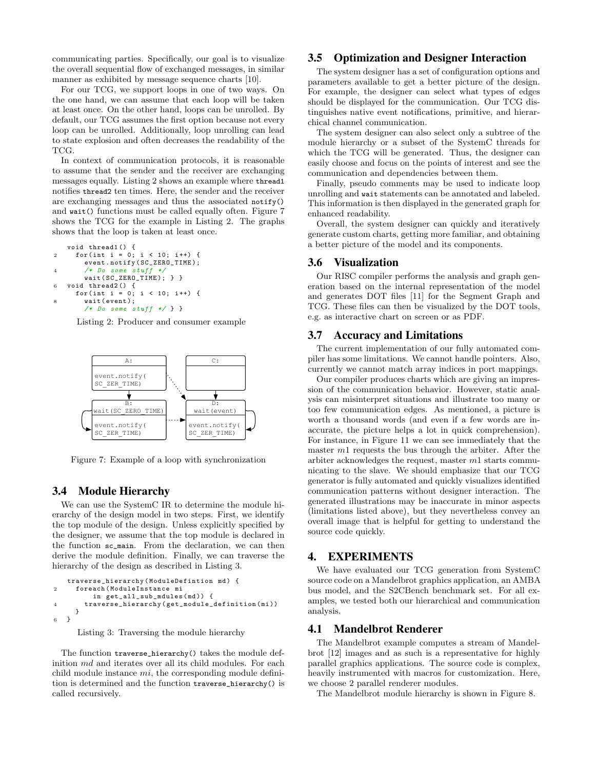communicating parties. Specifically, our goal is to visualize the overall sequential flow of exchanged messages, in similar manner as exhibited by message sequence charts [10].

For our TCG, we support loops in one of two ways. On the one hand, we can assume that each loop will be taken at least once. On the other hand, loops can be unrolled. By default, our TCG assumes the first option because not every loop can be unrolled. Additionally, loop unrolling can lead to state explosion and often decreases the readability of the TCG.

In context of communication protocols, it is reasonable to assume that the sender and the receiver are exchanging messages equally. Listing 2 shows an example where thread1 notifies thread2 ten times. Here, the sender and the receiver are exchanging messages and thus the associated notify() and wait() functions must be called equally often. Figure 7 shows the TCG for the example in Listing 2. The graphs shows that the loop is taken at least once.

```
void thread1 () {
2 for (int i = 0; i < 10; i++) {
       event . notify ( SC_ZERO_TIME );
4 /* Do some stuff */
       wait ( SC_ZERO_TIME ); } }
6 void thread2 () {
     for (int i = 0; i < 10; i++) {
       wait (event);
       /* Do some stuff */ } }
```
Listing 2: Producer and consumer example



Figure 7: Example of a loop with synchronization

### 3.4 Module Hierarchy

We can use the SystemC IR to determine the module hierarchy of the design model in two steps. First, we identify the top module of the design. Unless explicitly specified by the designer, we assume that the top module is declared in the function sc\_main. From the declaration, we can then derive the module definition. Finally, we can traverse the hierarchy of the design as described in Listing 3.

```
traverse_hierarchy (ModuleDefintion md) {
2 foreach ( ModuleInstance mi
         in get_all_sub_mdules ( md )) {
       4 traverse_hierarchy ( get_module_definition ( mi ))
     }
6 }
```

```
Listing 3: Traversing the module hierarchy
```
The function traverse\_hierarchy() takes the module definition  $md$  and iterates over all its child modules. For each child module instance  $mi$ , the corresponding module definition is determined and the function traverse\_hierarchy() is called recursively.

## 3.5 Optimization and Designer Interaction

The system designer has a set of configuration options and parameters available to get a better picture of the design. For example, the designer can select what types of edges should be displayed for the communication. Our TCG distinguishes native event notifications, primitive, and hierarchical channel communication.

The system designer can also select only a subtree of the module hierarchy or a subset of the SystemC threads for which the TCG will be generated. Thus, the designer can easily choose and focus on the points of interest and see the communication and dependencies between them.

Finally, pseudo comments may be used to indicate loop unrolling and wait statements can be annotated and labeled. This information is then displayed in the generated graph for enhanced readability.

Overall, the system designer can quickly and iteratively generate custom charts, getting more familiar, and obtaining a better picture of the model and its components.

#### 3.6 Visualization

Our RISC compiler performs the analysis and graph generation based on the internal representation of the model and generates DOT files [11] for the Segment Graph and TCG. These files can then be visualized by the DOT tools, e.g. as interactive chart on screen or as PDF.

### 3.7 Accuracy and Limitations

The current implementation of our fully automated compiler has some limitations. We cannot handle pointers. Also, currently we cannot match array indices in port mappings.

Our compiler produces charts which are giving an impression of the communication behavior. However, static analysis can misinterpret situations and illustrate too many or too few communication edges. As mentioned, a picture is worth a thousand words (and even if a few words are inaccurate, the picture helps a lot in quick comprehension). For instance, in Figure 11 we can see immediately that the master  $m_1$  requests the bus through the arbiter. After the arbiter acknowledges the request, master m1 starts communicating to the slave. We should emphasize that our TCG generator is fully automated and quickly visualizes identified communication patterns without designer interaction. The generated illustrations may be inaccurate in minor aspects (limitations listed above), but they nevertheless convey an overall image that is helpful for getting to understand the source code quickly.

## 4. EXPERIMENTS

We have evaluated our TCG generation from SystemC source code on a Mandelbrot graphics application, an AMBA bus model, and the S2CBench benchmark set. For all examples, we tested both our hierarchical and communication analysis.

## 4.1 Mandelbrot Renderer

The Mandelbrot example computes a stream of Mandelbrot [12] images and as such is a representative for highly parallel graphics applications. The source code is complex, heavily instrumented with macros for customization. Here, we choose 2 parallel renderer modules.

The Mandelbrot module hierarchy is shown in Figure 8.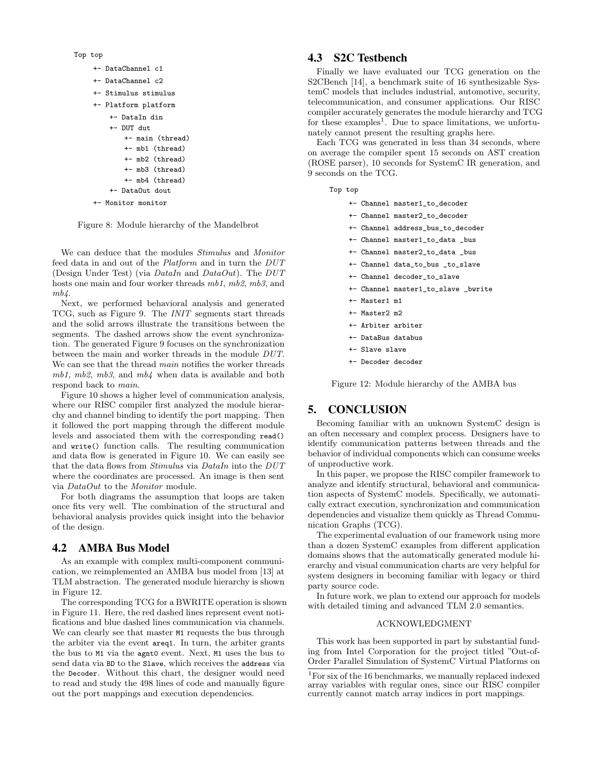Top top

- +- DataChannel c1 +- DataChannel c2
- 
- +- Stimulus stimulus
- +- Platform platform
	- +- DataIn din
		- +- DUT dut +- main (thread) +- mb1 (thread)
			- +- mb2 (thread)
		- +- mb3 (thread)
		- +- mb4 (thread)
	- +- DataOut dout
- +- Monitor monitor

Figure 8: Module hierarchy of the Mandelbrot

We can deduce that the modules Stimulus and Monitor feed data in and out of the Platform and in turn the DUT (Design Under Test) (via  $DataIn$  and  $DataOut$ ). The  $DUT$ hosts one main and four worker threads  $mb1, mb2, mb3,$  and  $mb4.$ 

Next, we performed behavioral analysis and generated TCG, such as Figure 9. The INIT segments start threads and the solid arrows illustrate the transitions between the segments. The dashed arrows show the event synchronization. The generated Figure 9 focuses on the synchronization between the main and worker threads in the module DUT. We can see that the thread main notifies the worker threads  $mb1, mb2, mb3, and mb4$  when data is available and both respond back to main.

Figure 10 shows a higher level of communication analysis, where our RISC compiler first analyzed the module hierarchy and channel binding to identify the port mapping. Then it followed the port mapping through the different module levels and associated them with the corresponding read() and write() function calls. The resulting communication and data flow is generated in Figure 10. We can easily see that the data flows from Stimulus via DataIn into the DUT where the coordinates are processed. An image is then sent via DataOut to the Monitor module.

For both diagrams the assumption that loops are taken once fits very well. The combination of the structural and behavioral analysis provides quick insight into the behavior of the design.

# 4.2 AMBA Bus Model

As an example with complex multi-component communication, we reimplemented an AMBA bus model from [13] at TLM abstraction. The generated module hierarchy is shown in Figure 12.

The corresponding TCG for a BWRITE operation is shown in Figure 11. Here, the red dashed lines represent event notifications and blue dashed lines communication via channels. We can clearly see that master  $M1$  requests the bus through the arbiter via the event areq1. In turn, the arbiter grants the bus to M1 via the agnt0 event. Next, M1 uses the bus to send data via BD to the Slave, which receives the address via the Decoder. Without this chart, the designer would need to read and study the 498 lines of code and manually figure out the port mappings and execution dependencies.

## 4.3 S2C Testbench

Finally we have evaluated our TCG generation on the S2CBench [14], a benchmark suite of 16 synthesizable SystemC models that includes industrial, automotive, security, telecommunication, and consumer applications. Our RISC compiler accurately generates the module hierarchy and TCG for these examples<sup>1</sup>. Due to space limitations, we unfortunately cannot present the resulting graphs here.

Each TCG was generated in less than 34 seconds, where on average the compiler spent 15 seconds on AST creation (ROSE parser), 10 seconds for SystemC IR generation, and 9 seconds on the TCG.

- Top top
	- +- Channel master1\_to\_decoder
	- +- Channel master2\_to\_decoder
	- +- Channel address\_bus\_to\_decoder
	- +- Channel master1\_to\_data \_bus
	- +- Channel master2\_to\_data \_bus
	- +- Channel data\_to\_bus \_to\_slave
	- +- Channel decoder\_to\_slave
	- +- Channel master1\_to\_slave \_bwrite
	- +- Master1 m1
	- +- Master2 m2
	- +- Arbiter arbiter
	- +- DataBus databus
	- +- Slave slave
	- +- Decoder decoder

Figure 12: Module hierarchy of the AMBA bus

# 5. CONCLUSION

Becoming familiar with an unknown SystemC design is an often necessary and complex process. Designers have to identify communication patterns between threads and the behavior of individual components which can consume weeks of unproductive work.

In this paper, we propose the RISC compiler framework to analyze and identify structural, behavioral and communication aspects of SystemC models. Specifically, we automatically extract execution, synchronization and communication dependencies and visualize them quickly as Thread Communication Graphs (TCG).

The experimental evaluation of our framework using more than a dozen SystemC examples from different application domains shows that the automatically generated module hierarchy and visual communication charts are very helpful for system designers in becoming familiar with legacy or third party source code.

In future work, we plan to extend our approach for models with detailed timing and advanced TLM 2.0 semantics.

#### ACKNOWLEDGMENT

This work has been supported in part by substantial funding from Intel Corporation for the project titled "Out-of-Order Parallel Simulation of SystemC Virtual Platforms on

<sup>&</sup>lt;sup>1</sup>For six of the 16 benchmarks, we manually replaced indexed array variables with regular ones, since our RISC compiler currently cannot match array indices in port mappings.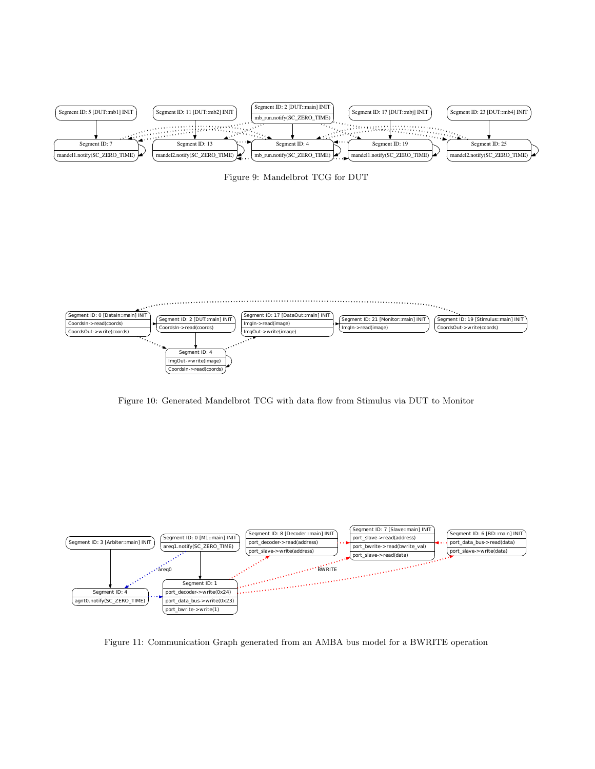

Figure 9: Mandelbrot TCG for DUT



Figure 10: Generated Mandelbrot TCG with data flow from Stimulus via DUT to Monitor



Figure 11: Communication Graph generated from an AMBA bus model for a BWRITE operation